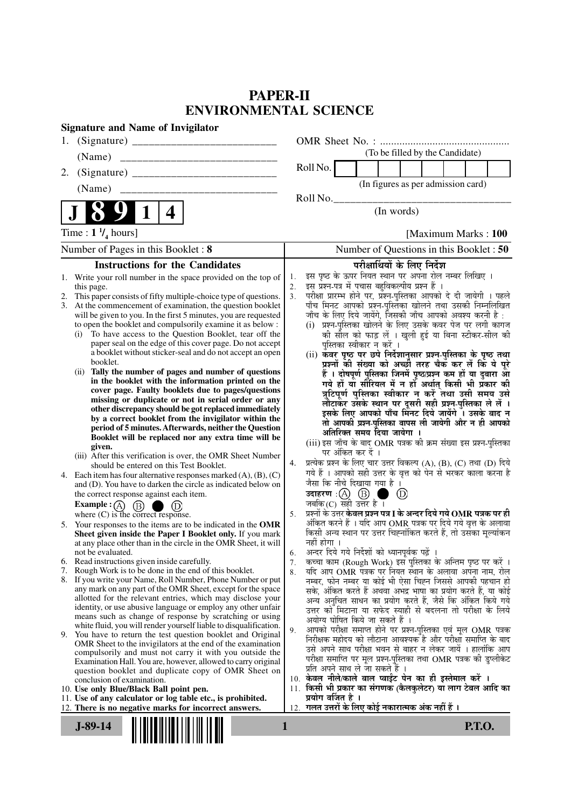# **PAPER-II ENVIRONMENTAL SCIENCE**

| <b>Signature and Name of Invigilator</b>                                                                                                                                                                                                                                                                                                                                                                                                                                                                                                                                                                                                                                                                                                                                                                                                                                                                                                                                                                                                                                                                                                                                                                                                                                                                                                                                                                                                                                                                                                                                                                                                                                                                                                                                                                                                                                                                                                                                                                                                                                                                                                                                                                                                                                                                                                                                                                                                                                                               |                                                                                                                                                                                                                                                                                                                                                                                                                                                                                                                                                                                                                                                                                                                                                                                                                                                                                                                                                                                                                                                                                                                                                                                                                                                                                                                                                                                                                                                                                                                                                                                                                                                                                                                                                                                                                                                                                                                                                                                                                                                                                                                                                                                                                                                                                                                                                                                                                    |  |  |  |  |  |  |
|--------------------------------------------------------------------------------------------------------------------------------------------------------------------------------------------------------------------------------------------------------------------------------------------------------------------------------------------------------------------------------------------------------------------------------------------------------------------------------------------------------------------------------------------------------------------------------------------------------------------------------------------------------------------------------------------------------------------------------------------------------------------------------------------------------------------------------------------------------------------------------------------------------------------------------------------------------------------------------------------------------------------------------------------------------------------------------------------------------------------------------------------------------------------------------------------------------------------------------------------------------------------------------------------------------------------------------------------------------------------------------------------------------------------------------------------------------------------------------------------------------------------------------------------------------------------------------------------------------------------------------------------------------------------------------------------------------------------------------------------------------------------------------------------------------------------------------------------------------------------------------------------------------------------------------------------------------------------------------------------------------------------------------------------------------------------------------------------------------------------------------------------------------------------------------------------------------------------------------------------------------------------------------------------------------------------------------------------------------------------------------------------------------------------------------------------------------------------------------------------------------|--------------------------------------------------------------------------------------------------------------------------------------------------------------------------------------------------------------------------------------------------------------------------------------------------------------------------------------------------------------------------------------------------------------------------------------------------------------------------------------------------------------------------------------------------------------------------------------------------------------------------------------------------------------------------------------------------------------------------------------------------------------------------------------------------------------------------------------------------------------------------------------------------------------------------------------------------------------------------------------------------------------------------------------------------------------------------------------------------------------------------------------------------------------------------------------------------------------------------------------------------------------------------------------------------------------------------------------------------------------------------------------------------------------------------------------------------------------------------------------------------------------------------------------------------------------------------------------------------------------------------------------------------------------------------------------------------------------------------------------------------------------------------------------------------------------------------------------------------------------------------------------------------------------------------------------------------------------------------------------------------------------------------------------------------------------------------------------------------------------------------------------------------------------------------------------------------------------------------------------------------------------------------------------------------------------------------------------------------------------------------------------------------------------------|--|--|--|--|--|--|
|                                                                                                                                                                                                                                                                                                                                                                                                                                                                                                                                                                                                                                                                                                                                                                                                                                                                                                                                                                                                                                                                                                                                                                                                                                                                                                                                                                                                                                                                                                                                                                                                                                                                                                                                                                                                                                                                                                                                                                                                                                                                                                                                                                                                                                                                                                                                                                                                                                                                                                        |                                                                                                                                                                                                                                                                                                                                                                                                                                                                                                                                                                                                                                                                                                                                                                                                                                                                                                                                                                                                                                                                                                                                                                                                                                                                                                                                                                                                                                                                                                                                                                                                                                                                                                                                                                                                                                                                                                                                                                                                                                                                                                                                                                                                                                                                                                                                                                                                                    |  |  |  |  |  |  |
| (Name)                                                                                                                                                                                                                                                                                                                                                                                                                                                                                                                                                                                                                                                                                                                                                                                                                                                                                                                                                                                                                                                                                                                                                                                                                                                                                                                                                                                                                                                                                                                                                                                                                                                                                                                                                                                                                                                                                                                                                                                                                                                                                                                                                                                                                                                                                                                                                                                                                                                                                                 | (To be filled by the Candidate)                                                                                                                                                                                                                                                                                                                                                                                                                                                                                                                                                                                                                                                                                                                                                                                                                                                                                                                                                                                                                                                                                                                                                                                                                                                                                                                                                                                                                                                                                                                                                                                                                                                                                                                                                                                                                                                                                                                                                                                                                                                                                                                                                                                                                                                                                                                                                                                    |  |  |  |  |  |  |
| 2.                                                                                                                                                                                                                                                                                                                                                                                                                                                                                                                                                                                                                                                                                                                                                                                                                                                                                                                                                                                                                                                                                                                                                                                                                                                                                                                                                                                                                                                                                                                                                                                                                                                                                                                                                                                                                                                                                                                                                                                                                                                                                                                                                                                                                                                                                                                                                                                                                                                                                                     | Roll No.                                                                                                                                                                                                                                                                                                                                                                                                                                                                                                                                                                                                                                                                                                                                                                                                                                                                                                                                                                                                                                                                                                                                                                                                                                                                                                                                                                                                                                                                                                                                                                                                                                                                                                                                                                                                                                                                                                                                                                                                                                                                                                                                                                                                                                                                                                                                                                                                           |  |  |  |  |  |  |
|                                                                                                                                                                                                                                                                                                                                                                                                                                                                                                                                                                                                                                                                                                                                                                                                                                                                                                                                                                                                                                                                                                                                                                                                                                                                                                                                                                                                                                                                                                                                                                                                                                                                                                                                                                                                                                                                                                                                                                                                                                                                                                                                                                                                                                                                                                                                                                                                                                                                                                        | (In figures as per admission card)                                                                                                                                                                                                                                                                                                                                                                                                                                                                                                                                                                                                                                                                                                                                                                                                                                                                                                                                                                                                                                                                                                                                                                                                                                                                                                                                                                                                                                                                                                                                                                                                                                                                                                                                                                                                                                                                                                                                                                                                                                                                                                                                                                                                                                                                                                                                                                                 |  |  |  |  |  |  |
| $\mathbf 1$<br>4                                                                                                                                                                                                                                                                                                                                                                                                                                                                                                                                                                                                                                                                                                                                                                                                                                                                                                                                                                                                                                                                                                                                                                                                                                                                                                                                                                                                                                                                                                                                                                                                                                                                                                                                                                                                                                                                                                                                                                                                                                                                                                                                                                                                                                                                                                                                                                                                                                                                                       | Roll No.<br>(In words)                                                                                                                                                                                                                                                                                                                                                                                                                                                                                                                                                                                                                                                                                                                                                                                                                                                                                                                                                                                                                                                                                                                                                                                                                                                                                                                                                                                                                                                                                                                                                                                                                                                                                                                                                                                                                                                                                                                                                                                                                                                                                                                                                                                                                                                                                                                                                                                             |  |  |  |  |  |  |
| Time : $1 \frac{1}{4}$ hours]                                                                                                                                                                                                                                                                                                                                                                                                                                                                                                                                                                                                                                                                                                                                                                                                                                                                                                                                                                                                                                                                                                                                                                                                                                                                                                                                                                                                                                                                                                                                                                                                                                                                                                                                                                                                                                                                                                                                                                                                                                                                                                                                                                                                                                                                                                                                                                                                                                                                          | [Maximum Marks: 100]                                                                                                                                                                                                                                                                                                                                                                                                                                                                                                                                                                                                                                                                                                                                                                                                                                                                                                                                                                                                                                                                                                                                                                                                                                                                                                                                                                                                                                                                                                                                                                                                                                                                                                                                                                                                                                                                                                                                                                                                                                                                                                                                                                                                                                                                                                                                                                                               |  |  |  |  |  |  |
| Number of Pages in this Booklet: 8                                                                                                                                                                                                                                                                                                                                                                                                                                                                                                                                                                                                                                                                                                                                                                                                                                                                                                                                                                                                                                                                                                                                                                                                                                                                                                                                                                                                                                                                                                                                                                                                                                                                                                                                                                                                                                                                                                                                                                                                                                                                                                                                                                                                                                                                                                                                                                                                                                                                     | Number of Questions in this Booklet : 50                                                                                                                                                                                                                                                                                                                                                                                                                                                                                                                                                                                                                                                                                                                                                                                                                                                                                                                                                                                                                                                                                                                                                                                                                                                                                                                                                                                                                                                                                                                                                                                                                                                                                                                                                                                                                                                                                                                                                                                                                                                                                                                                                                                                                                                                                                                                                                           |  |  |  |  |  |  |
| <b>Instructions for the Candidates</b>                                                                                                                                                                                                                                                                                                                                                                                                                                                                                                                                                                                                                                                                                                                                                                                                                                                                                                                                                                                                                                                                                                                                                                                                                                                                                                                                                                                                                                                                                                                                                                                                                                                                                                                                                                                                                                                                                                                                                                                                                                                                                                                                                                                                                                                                                                                                                                                                                                                                 | परीक्षार्थियों के लिए निर्देश                                                                                                                                                                                                                                                                                                                                                                                                                                                                                                                                                                                                                                                                                                                                                                                                                                                                                                                                                                                                                                                                                                                                                                                                                                                                                                                                                                                                                                                                                                                                                                                                                                                                                                                                                                                                                                                                                                                                                                                                                                                                                                                                                                                                                                                                                                                                                                                      |  |  |  |  |  |  |
| 1. Write your roll number in the space provided on the top of<br>this page.<br>This paper consists of fifty multiple-choice type of questions.<br>2.<br>3. At the commencement of examination, the question booklet<br>will be given to you. In the first 5 minutes, you are requested<br>to open the booklet and compulsorily examine it as below :<br>To have access to the Question Booklet, tear off the<br>(i)<br>paper seal on the edge of this cover page. Do not accept<br>a booklet without sticker-seal and do not accept an open<br>booklet.<br>(ii) Tally the number of pages and number of questions<br>in the booklet with the information printed on the<br>cover page. Faulty booklets due to pages/questions<br>missing or duplicate or not in serial order or any<br>other discrepancy should be got replaced immediately<br>by a correct booklet from the invigilator within the<br>period of 5 minutes. Afterwards, neither the Question<br>Booklet will be replaced nor any extra time will be<br>given.<br>(iii) After this verification is over, the OMR Sheet Number<br>should be entered on this Test Booklet.<br>4. Each item has four alternative responses marked $(A)$ , $(B)$ , $(C)$<br>and (D). You have to darken the circle as indicated below on<br>the correct response against each item.<br><b>Example:</b> $\overline{A}$ $\overline{B}$ $\overline{B}$<br>$\circled{D}$<br>where (C) is the correct response.<br>5. Your responses to the items are to be indicated in the OMR<br>Sheet given inside the Paper I Booklet only. If you mark<br>at any place other than in the circle in the OMR Sheet, it will<br>not be evaluated.<br>6. Read instructions given inside carefully.<br>Rough Work is to be done in the end of this booklet.<br>7.<br>8. If you write your Name, Roll Number, Phone Number or put<br>any mark on any part of the OMR Sheet, except for the space<br>allotted for the relevant entries, which may disclose your<br>identity, or use abusive language or employ any other unfair<br>means such as change of response by scratching or using<br>white fluid, you will render yourself liable to disqualification.<br>9. You have to return the test question booklet and Original<br>OMR Sheet to the invigilators at the end of the examination<br>compulsorily and must not carry it with you outside the<br>Examination Hall. You are, however, allowed to carry original<br>question booklet and duplicate copy of OMR Sheet on | इस पृष्ठ के ऊपर नियत स्थान पर अपना रोल नम्बर लिखिए ।<br>1.<br>इस प्रश्न-पत्र में पचास बहुविकल्पीय प्रश्न हैं ।<br>2.<br>परीक्षा प्रारम्भ होने पर, प्रश्न-पुस्तिका आपको दे दी जायेगी । पहले<br>3 <sub>1</sub><br>पाँच मिनट आपको प्रश्न-पुस्तिका खोलने तथा उसकी निम्नलिखित<br>जाँच के लिए दिये जायेंगे, जिसकी जाँच आपको अवश्य करनी है :<br>(i) प्रश्न-पुस्तिका खोलने के लिए उसके कवर पेज पर लगी कागज<br>की सील को फाड़ लें । खुली हुई या बिना स्टीकर-सील की<br>पुस्तिका स्वीकार न करें ।<br>(ii) कवर पृष्ठ पर छपे निर्देशानुसार प्रश्न-पुस्तिका के पृष्ठ तथा<br>प्रश्नों की संख्या को अच्छी तरह चैक कर लें कि ये पूरे<br>हैं । दोषपूर्ण पुस्तिका जिनमें पृष्ठ/प्रश्न कम हों या दुबारा आ<br>गये हों या सीरियल में न हों अर्थात् किसी भी प्रकार की<br>त्रुटिपूर्ण पुस्तिका स्वीकार न करें तथा उसी समय उसे<br>लौटाकर उसके स्थान पर दूसरी सही प्रश्न-पुस्तिका ले लें ।<br>इसके लिए आपको पाँच मिनट दिये जायेंगे ँ। उसके बाद न<br>तो आपकी प्रश्न-पुस्तिका वापस ली जायेगी और न ही आपको<br>अतिरिक्त समय दिया जायेगा ।<br>(iii) इस जाँच के बाद OMR पत्रक की क्रम संख्या इस प्रश्न-पुस्तिका<br>पर अंकित कर दें ।<br>प्रत्येक प्रश्न के लिए चार उत्तर विकल्प (A), (B), (C) तथा (D) दिये<br>4.<br>गये हैं । आपको सही उत्तर के वृत्त को पेन से भरकर काला करना है<br>जैसा कि नीचे दिखाया गया है।<br>उदाहरण: $\textcircled{A}$ $\textcircled{B}$<br>(D)<br>जबकि $(C)$ सही उत्तर है।<br>प्रश्नों के उत्तर <b>केवल प्रश्न पत्र I के अन्दर दिये गये OMR पत्रक पर ही</b><br>5.<br>अंकित करने हैं । यदि आप OMR पत्रक पर दिये गये वृत्त के अलावा<br>किसी अन्य स्थान पर उत्तर चिह्नांकित करते हैं, तो उसका मुल्यांकन<br>नहीं होगा ।<br>अन्दर दिये गये निर्देशों को ध्यानपूर्वक पढ़ें ।<br>6.<br>कच्चा काम (Rough Work) इस पुस्तिका के अन्तिम पृष्ठ पर करें ।<br>7.<br>यदि आप OMR पत्रक पर नियत स्थान के अलावा अपना नाम, रोल<br>8.<br>नम्बर, फोन नम्बर या कोई भी ऐसा चिह्न जिससे आपकी पहचान हो<br>सके, अंकित करते हैं अथवा अभद्र भाषा का प्रयोग करते हैं, या कोई<br>अन्य अनुचित साधन का प्रयोग करते हैं, जैसे कि अंकित किये गये<br>उत्तर को मिटाना या सफेद स्याही से बदलना तो परीक्षा के लिये<br>अयोग्य घोषित किये जा सकते हैं ।<br>आपको परीक्षा समाप्त होने पर प्रश्न-पुस्तिका एवं मूल OMR पत्रक<br>9.<br>निरीक्षक महोदय को लौटाना आवश्यक है और परीक्षा समाप्ति के बाद<br>उसे अपने साथ परीक्षा भवन से बाहर न लेकर जायें । हालांकि आप<br>परीक्षा समाप्ति पर मूल प्रश्न-पुस्तिका तथा OMR पत्रक की डुप्लीकेट<br>प्रति अपने साथ ले जा सकते हैं |  |  |  |  |  |  |
| conclusion of examination.<br>10. Use only Blue/Black Ball point pen.<br>11. Use of any calculator or log table etc., is prohibited.                                                                                                                                                                                                                                                                                                                                                                                                                                                                                                                                                                                                                                                                                                                                                                                                                                                                                                                                                                                                                                                                                                                                                                                                                                                                                                                                                                                                                                                                                                                                                                                                                                                                                                                                                                                                                                                                                                                                                                                                                                                                                                                                                                                                                                                                                                                                                                   | 10. केवल नीले/काले बाल प्वाईंट पेन का ही इस्तेमाल करें ।<br>11. किसी भी प्रकार का संगणक (कैलकुलेटर) या लाग टेबल आदि का<br>प्रयोग वर्जित है ।                                                                                                                                                                                                                                                                                                                                                                                                                                                                                                                                                                                                                                                                                                                                                                                                                                                                                                                                                                                                                                                                                                                                                                                                                                                                                                                                                                                                                                                                                                                                                                                                                                                                                                                                                                                                                                                                                                                                                                                                                                                                                                                                                                                                                                                                       |  |  |  |  |  |  |
| 12. There is no negative marks for incorrect answers.                                                                                                                                                                                                                                                                                                                                                                                                                                                                                                                                                                                                                                                                                                                                                                                                                                                                                                                                                                                                                                                                                                                                                                                                                                                                                                                                                                                                                                                                                                                                                                                                                                                                                                                                                                                                                                                                                                                                                                                                                                                                                                                                                                                                                                                                                                                                                                                                                                                  | गलत उत्तरों के लिए कोई नकारात्मक अंक नहीं हैं ।<br>12.                                                                                                                                                                                                                                                                                                                                                                                                                                                                                                                                                                                                                                                                                                                                                                                                                                                                                                                                                                                                                                                                                                                                                                                                                                                                                                                                                                                                                                                                                                                                                                                                                                                                                                                                                                                                                                                                                                                                                                                                                                                                                                                                                                                                                                                                                                                                                             |  |  |  |  |  |  |
| <b>P.T.O.</b><br>$J-89-14$<br>1                                                                                                                                                                                                                                                                                                                                                                                                                                                                                                                                                                                                                                                                                                                                                                                                                                                                                                                                                                                                                                                                                                                                                                                                                                                                                                                                                                                                                                                                                                                                                                                                                                                                                                                                                                                                                                                                                                                                                                                                                                                                                                                                                                                                                                                                                                                                                                                                                                                                        |                                                                                                                                                                                                                                                                                                                                                                                                                                                                                                                                                                                                                                                                                                                                                                                                                                                                                                                                                                                                                                                                                                                                                                                                                                                                                                                                                                                                                                                                                                                                                                                                                                                                                                                                                                                                                                                                                                                                                                                                                                                                                                                                                                                                                                                                                                                                                                                                                    |  |  |  |  |  |  |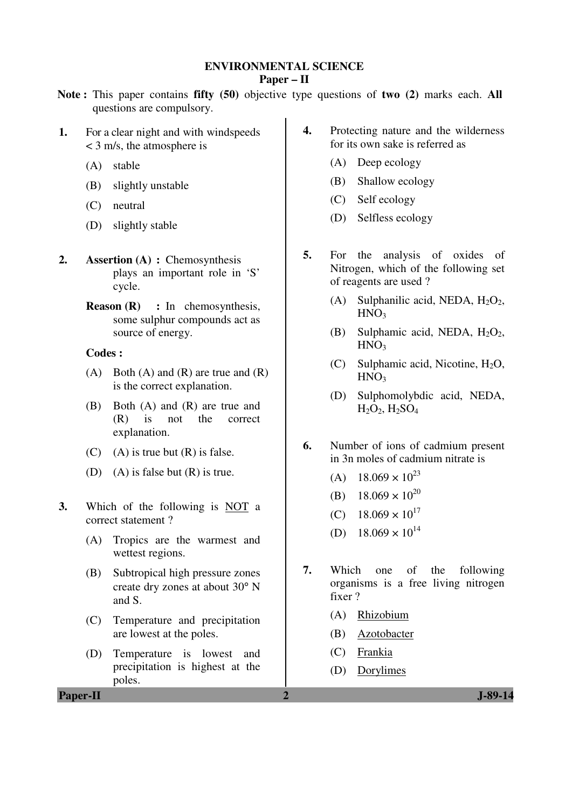### **ENVIRONMENTAL SCIENCE**

### **Paper – II**

- **Note :** This paper contains **fifty (50)** objective type questions of **two (2)** marks each. **All** questions are compulsory.
- **1.** For a clear night and with windspeeds < 3 m/s, the atmosphere is
	- (A) stable
	- (B) slightly unstable
	- (C) neutral
	- (D) slightly stable
- **2. Assertion (A) : Chemosynthesis** plays an important role in 'S' cycle.
	- **Reason (R)** : In chemosynthesis, some sulphur compounds act as source of energy.

## **Codes :**

- (A) Both (A) and (R) are true and  $(R)$ is the correct explanation.
- (B) Both (A) and (R) are true and (R) is not the correct explanation.
- (C) (A) is true but  $(R)$  is false.
- (D) (A) is false but  $(R)$  is true.
- **3.** Which of the following is NOT a correct statement ?
	- (A) Tropics are the warmest and wettest regions.
	- (B) Subtropical high pressure zones create dry zones at about 30° N and S.
	- (C) Temperature and precipitation are lowest at the poles.
	- (D) Temperature is lowest and precipitation is highest at the poles.
- **4.** Protecting nature and the wilderness for its own sake is referred as
	- (A) Deep ecology
	- (B) Shallow ecology
	- (C) Self ecology
	- (D) Selfless ecology
- **5.** For the analysis of oxides of Nitrogen, which of the following set of reagents are used ?
	- (A) Sulphanilic acid, NEDA,  $H_2O_2$ ,  $HNO<sub>3</sub>$
	- (B) Sulphamic acid, NEDA,  $H_2O_2$ ,  $HNO<sub>3</sub>$
	- (C) Sulphamic acid, Nicotine,  $H_2O$ ,  $HNO<sub>3</sub>$
	- (D) Sulphomolybdic acid, NEDA,  $H_2O_2$ ,  $H_2SO_4$
- **6.** Number of ions of cadmium present in 3n moles of cadmium nitrate is
	- (A)  $18.069 \times 10^{23}$
	- (B)  $18.069 \times 10^{20}$
	- (C)  $18.069 \times 10^{17}$
	- (D)  $18.069 \times 10^{14}$
- **7.** Which one of the following organisms is a free living nitrogen fixer ?
	- (A) Rhizobium
	- (B) Azotobacter
	- (C) Frankia
	- (D) Dorylimes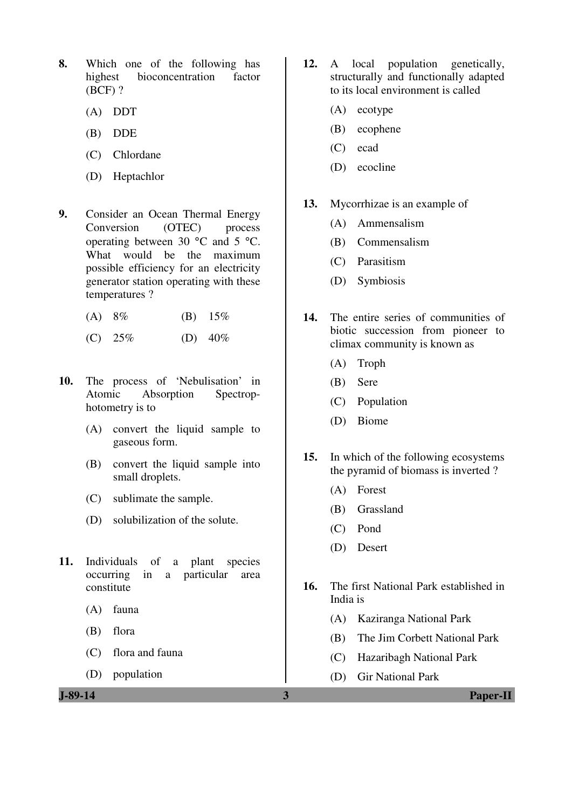- **8.** Which one of the following has highest bioconcentration factor (BCF) ?
	- (A) DDT
	- (B) DDE
	- (C) Chlordane
	- (D) Heptachlor
- **9.** Consider an Ocean Thermal Energy Conversion (OTEC) process operating between 30 °C and 5 °C. What would be the maximum possible efficiency for an electricity generator station operating with these temperatures ?
	- (A)  $8\%$  (B)  $15\%$
	- (C)  $25\%$  (D)  $40\%$
- **10.** The process of 'Nebulisation' in Atomic Absorption Spectrophotometry is to
	- (A) convert the liquid sample to gaseous form.
	- (B) convert the liquid sample into small droplets.
	- (C) sublimate the sample.
	- (D) solubilization of the solute.
- **11.** Individuals of a plant species occurring in a particular area constitute
	- (A) fauna
	- (B) flora
	- (C) flora and fauna
	- (D) population
- **12.** A local population genetically, structurally and functionally adapted to its local environment is called
	- (A) ecotype
	- (B) ecophene
	- (C) ecad
	- (D) ecocline
- **13.** Mycorrhizae is an example of
	- (A) Ammensalism
	- (B) Commensalism
	- (C) Parasitism
	- (D) Symbiosis
- **14.** The entire series of communities of biotic succession from pioneer to climax community is known as
	- (A) Troph
	- (B) Sere
	- (C) Population
	- (D) Biome
- **15.** In which of the following ecosystems the pyramid of biomass is inverted ?
	- (A) Forest
	- (B) Grassland
	- (C) Pond
	- (D) Desert
- **16.** The first National Park established in India is
	- (A) Kaziranga National Park
	- (B) The Jim Corbett National Park
	- (C) Hazaribagh National Park
	- (D) Gir National Park

**J-89-14 3 Paper-II**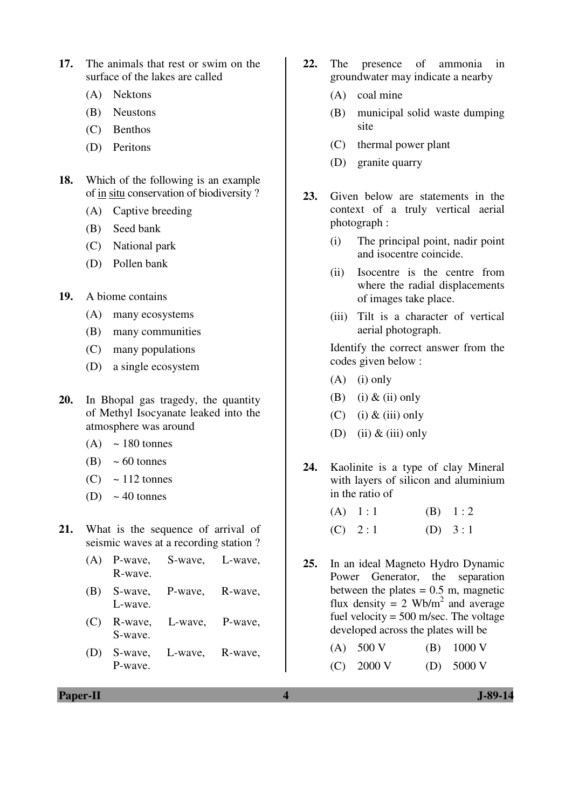- **17.** The animals that rest or swim on the surface of the lakes are called
	- (A) Nektons
	- (B) Neustons
	- (C) Benthos
	- (D) Peritons
- **18.** Which of the following is an example of in situ conservation of biodiversity ?
	- (A) Captive breeding
	- (B) Seed bank
	- (C) National park
	- (D) Pollen bank
- **19.** A biome contains
	- (A) many ecosystems
	- (B) many communities
	- (C) many populations
	- (D) a single ecosystem
- **20.** In Bhopal gas tragedy, the quantity of Methyl Isocyanate leaked into the atmosphere was around
	- $(A) \sim 180$  tonnes
	- $(B) \sim 60$  tonnes
	- $(C) \approx 112$  tonnes
	- (D)  $\sim$  40 tonnes
- **21.** What is the sequence of arrival of seismic waves at a recording station ?
	- (A) P-wave, S-wave, L-wave, R-wave.
	- (B) S-wave, P-wave, R-wave, L-wave.
	- (C) R-wave, L-wave, P-wave, S-wave.
	- (D) S-wave, L-wave, R-wave, P-wave.
- **22.** The presence of ammonia in groundwater may indicate a nearby
	- (A) coal mine
	- (B) municipal solid waste dumping site
	- (C) thermal power plant
	- (D) granite quarry
- **23.** Given below are statements in the context of a truly vertical aerial photograph :
	- (i) The principal point, nadir point and isocentre coincide.
	- (ii) Isocentre is the centre from where the radial displacements of images take place.
	- (iii) Tilt is a character of vertical aerial photograph.

 Identify the correct answer from the codes given below :

- $(A)$  (i) only
- (B) (i)  $\&$  (ii) only
- $(C)$  (i)  $&$  (iii) only
- (D) (ii)  $&$  (iii) only
- **24.** Kaolinite is a type of clay Mineral with layers of silicon and aluminium in the ratio of
	- (A)  $1:1$  (B)  $1:2$ (C)  $2:1$  (D)  $3:1$
- **25.** In an ideal Magneto Hydro Dynamic Power Generator, the separation between the plates  $= 0.5$  m, magnetic flux density = 2 Wb/m<sup>2</sup> and average fuel velocity =  $500$  m/sec. The voltage developed across the plates will be

| $(A)$ 500 V  |  | $(B)$ 1000 V         |
|--------------|--|----------------------|
| $(C)$ 2000 V |  | (D) $5000 \text{ V}$ |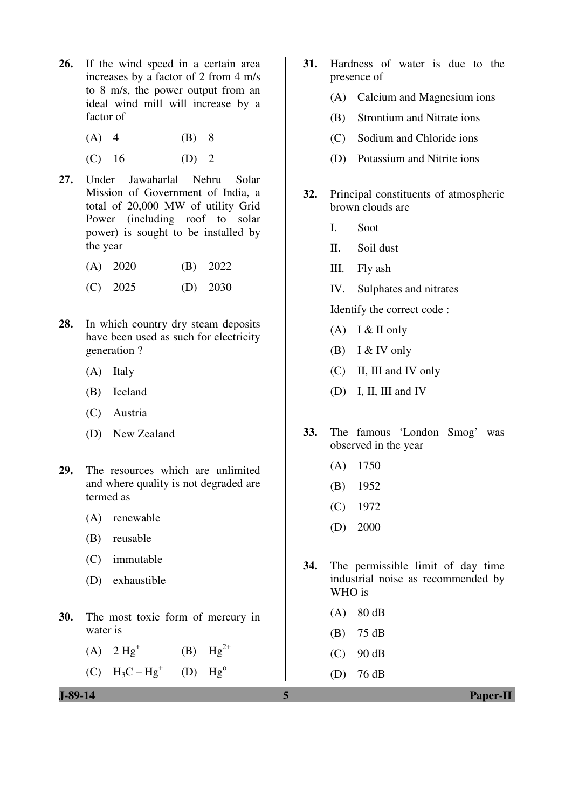- **26.** If the wind speed in a certain area increases by a factor of 2 from 4 m/s to 8 m/s, the power output from an ideal wind mill will increase by a factor of
	- (A) 4 (B) 8
	- $(C)$  16  $(D)$  2
- **27.** Under Jawaharlal Nehru Solar Mission of Government of India, a total of 20,000 MW of utility Grid Power (including roof to solar power) is sought to be installed by the year
	- (A) 2020 (B) 2022
	- (C) 2025 (D) 2030
- **28.** In which country dry steam deposits have been used as such for electricity generation ?
	- (A) Italy
	- (B) Iceland
	- (C) Austria
	- (D) New Zealand
- **29.** The resources which are unlimited and where quality is not degraded are termed as
	- (A) renewable
	- (B) reusable
	- (C) immutable
	- (D) exhaustible
- **30.** The most toxic form of mercury in water is
	- (A)  $2 Hg^+$ (B)  $Hg^{2+}$
	- (C)  $H_3C Hg^+$  $(D)$   $Hg^0$
- 
- **31.** Hardness of water is due to the presence of
	- (A) Calcium and Magnesium ions
	- (B) Strontium and Nitrate ions
	- (C) Sodium and Chloride ions
	- (D) Potassium and Nitrite ions
- **32.** Principal constituents of atmospheric brown clouds are
	- I. Soot
	- II. Soil dust
	- III. Fly ash
	- IV. Sulphates and nitrates

Identify the correct code :

- $(A)$  I & II only
- (B) I & IV only
- (C) II, III and IV only
- (D) I, II, III and IV
- **33.** The famous 'London Smog' was observed in the year
	- (A) 1750
	- (B) 1952
	- (C) 1972
	- (D) 2000
- **34.** The permissible limit of day time industrial noise as recommended by WHO is
	- (A) 80 dB
	- (B) 75 dB
	- $(C)$  90 dB
	- (D) 76 dB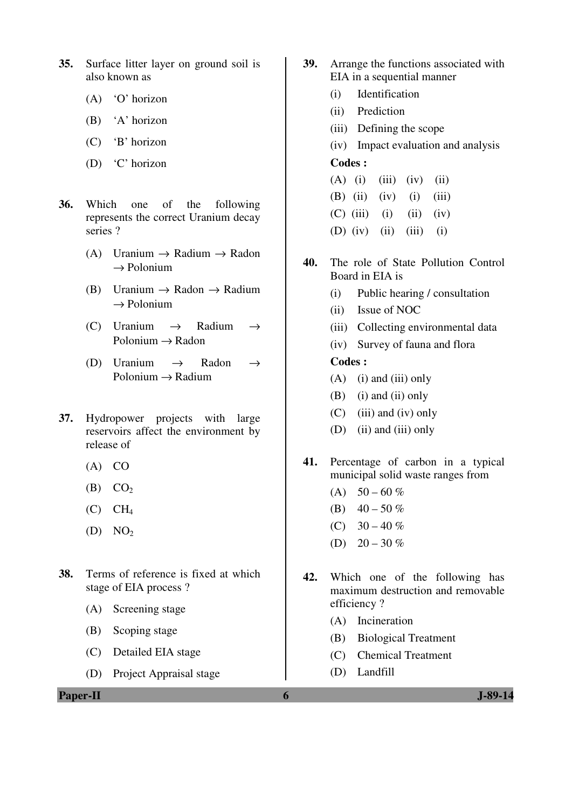- **35.** Surface litter layer on ground soil is also known as
	- (A) 'O' horizon
	- (B) 'A' horizon
	- (C) 'B' horizon
	- (D) 'C' horizon
- **36.** Which one of the following represents the correct Uranium decay series ?
	- (A) Uranium  $\rightarrow$  Radium  $\rightarrow$  Radon  $\rightarrow$  Polonium
	- (B) Uranium  $\rightarrow$  Radon  $\rightarrow$  Radium  $\rightarrow$  Polonium
	- (C) Uranium  $\rightarrow$  Radium  $\rightarrow$  $Polonium \rightarrow Radon$
	- (D) Uranium  $\rightarrow$  Radon  $\rightarrow$  $Polonium \rightarrow Radium$
- **37.** Hydropower projects with large reservoirs affect the environment by release of
	- $(A)$  CO
	- $(B)$   $CO<sub>2</sub>$
	- $(C)$   $CH<sub>4</sub>$
	- $(D) \quad NO<sub>2</sub>$
- **38.** Terms of reference is fixed at which stage of EIA process ?
	- (A) Screening stage
	- (B) Scoping stage
	- (C) Detailed EIA stage
	- (D) Project Appraisal stage
- **39.** Arrange the functions associated with EIA in a sequential manner
	- (i) Identification
	- (ii) Prediction
	- (iii) Defining the scope
	- (iv) Impact evaluation and analysis

## **Codes :**

- $(A)$  (i) (iii) (iv) (ii) (B) (ii) (iv) (i) (iii)  $(C)$  (iii) (ii) (iv) (D) (iv) (ii) (iii) (i)
- **40.** The role of State Pollution Control Board in EIA is
	- (i) Public hearing / consultation
	- (ii) Issue of NOC
	- (iii) Collecting environmental data
	- (iv) Survey of fauna and flora

## **Codes :**

- $(A)$  (i) and (iii) only
- (B) (i) and (ii) only
- (C) (iii) and (iv) only
- (D) (ii) and (iii) only
- **41.** Percentage of carbon in a typical municipal solid waste ranges from
	- (A)  $50 60 \%$
	- (B)  $40 50 \%$
	- (C)  $30 40 \%$
	- (D)  $20 30 \%$
- **42.** Which one of the following has maximum destruction and removable efficiency ?
	- (A) Incineration
	- (B) Biological Treatment
	- (C) Chemical Treatment
	- (D) Landfill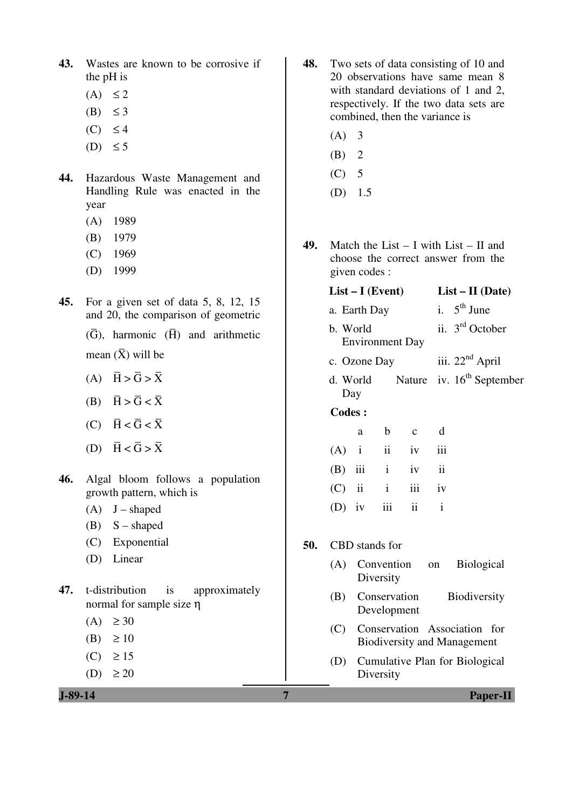- **43.** Wastes are known to be corrosive if the pH is
	- $(A) \leq 2$
	- (B)  $\leq$  3
	- $(C) \leq 4$
	- (D)  $\leq$  5
- **44.** Hazardous Waste Management and Handling Rule was enacted in the year
	- (A) 1989
	- (B) 1979
	- (C) 1969
	- (D) 1999
- **45.** For a given set of data 5, 8, 12, 15 and 20, the comparison of geometric
	- $(\overline{G})$ , harmonic  $(\overline{H})$  and arithmetic mean  $(\bar{X})$  will be
- (A)  $\overline{H} > \overline{G} > \overline{X}$
- (B)  $\overline{H} > \overline{G} < \overline{X}$
- (C)  $\overline{H} < \overline{G} < \overline{X}$
- (D)  $\overline{H} < \overline{G} > \overline{X}$
- **46.** Algal bloom follows a population growth pattern, which is
	- $(A)$  J shaped
	- $(B)$  S shaped
	- (C) Exponential
	- (D) Linear
- **47.** t-distribution is approximately normal for sample size η
	- $(A) \geq 30$
	- (B)  $\geq 10$
	- $(C) \ge 15$
	- (D)  $\geq 20$

- **48.** Two sets of data consisting of 10 and 20 observations have same mean 8 with standard deviations of 1 and 2, respectively. If the two data sets are combined, then the variance is
	- $(A)$  3
	- $(B)$  2
	- $(C)$  5
	- (D) 1.5
- **49.** Match the List I with List II and choose the correct answer from the given codes :

## **List – I (Event) List – II (Date)**

- a. Earth Day i.  $5<sup>th</sup>$  June
- b. World Environment Day ii. 3rd October
- c. Ozone Day iii.  $22<sup>nd</sup>$  April
- d. World Day Nature iv.  $16^{th}$  September

#### **Codes :**

|  | a |                    | b c d |  |
|--|---|--------------------|-------|--|
|  |   | $(A)$ i ii iv iii  |       |  |
|  |   | $(B)$ iii i iv ii  |       |  |
|  |   | $(C)$ ii ii iii iv |       |  |
|  |   | (D) iv iii ii i    |       |  |

- **50.** CBD stands for
	- (A) Convention on Biological Diversity
	- (B) Conservation Biodiversity Development
	- (C) Conservation Association for Biodiversity and Management
	- (D) Cumulative Plan for Biological Diversity

**J-89-14 7 Paper-II**